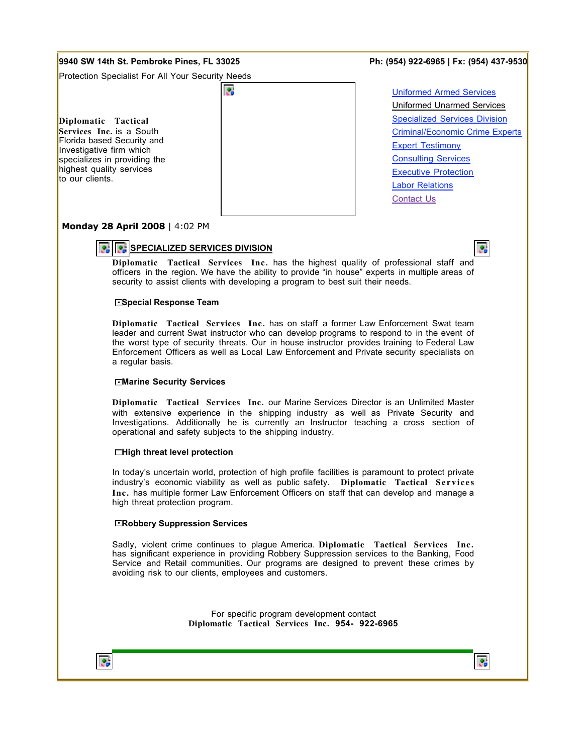# **9940 SW 14th St. Pembroke Pines, FL 33025 Ph: (954) 922-6965 | Fx: (954) 437-9530**

Protection Specialist For All Your Security Needs

ē.

**Diplomatic Tactical Services Inc.** is a South Florida based Security and Investigative firm which specializes in providing the highest quality services to our clients.

Uniformed Armed Services Uniformed Unarmed Services Specialized Services Division Criminal/Economic Crime Experts Expert Testimony Consulting Services Executive Protection Labor Relations Contact Us

Ø.

# **Monday 28 April 2008** | 4:02 PM

# **SPECIALIZED SERVICES DIVISION**

**Diplomatic Tactical Services Inc.** has the highest quality of professional staff and officers in the region. We have the ability to provide "in house" experts in multiple areas of security to assist clients with developing a program to best suit their needs.

#### **Special Response Team**

**Diplomatic Tactical Services Inc.** has on staff a former Law Enforcement Swat team leader and current Swat instructor who can develop programs to respond to in the event of the worst type of security threats. Our in house instructor provides training to Federal Law Enforcement Officers as well as Local Law Enforcement and Private security specialists on a regular basis.

#### **Marine Security Services**

**Diplomatic Tactical Services Inc.** our Marine Services Director is an Unlimited Master with extensive experience in the shipping industry as well as Private Security and Investigations. Additionally he is currently an Instructor teaching a cross section of operational and safety subjects to the shipping industry.

## **High threat level protection**

In today's uncertain world, protection of high profile facilities is paramount to protect private industry's economic viability as well as public safety. **Diplomatic Tactical Services Inc.** has multiple former Law Enforcement Officers on staff that can develop and manage a high threat protection program.

## **Robbery Suppression Services**

Sadly, violent crime continues to plague America. **Diplomatic Tactical Services Inc.** has significant experience in providing Robbery Suppression services to the Banking, Food Service and Retail communities. Our programs are designed to prevent these crimes by avoiding risk to our clients, employees and customers.

> For specific program development contact **Diplomatic Tactical Services Inc. 954- 922-6965**



 $\mathcal{L}_{\mathbf{p}}$